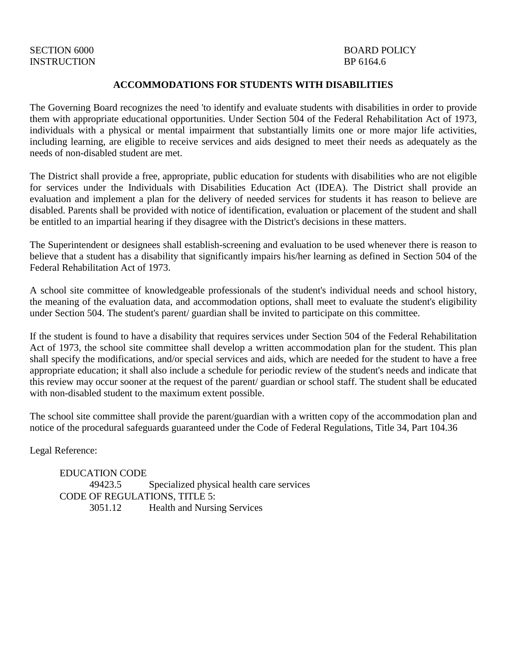# INSTRUCTION BP 6164.6

# SECTION 6000 BOARD POLICY

#### **ACCOMMODATIONS FOR STUDENTS WITH DISABILITIES**

The Governing Board recognizes the need 'to identify and evaluate students with disabilities in order to provide them with appropriate educational opportunities. Under Section 504 of the Federal Rehabilitation Act of 1973, individuals with a physical or mental impairment that substantially limits one or more major life activities, including learning, are eligible to receive services and aids designed to meet their needs as adequately as the needs of non-disabled student are met.

The District shall provide a free, appropriate, public education for students with disabilities who are not eligible for services under the Individuals with Disabilities Education Act (IDEA). The District shall provide an evaluation and implement a plan for the delivery of needed services for students it has reason to believe are disabled. Parents shall be provided with notice of identification, evaluation or placement of the student and shall be entitled to an impartial hearing if they disagree with the District's decisions in these matters.

The Superintendent or designees shall establish-screening and evaluation to be used whenever there is reason to believe that a student has a disability that significantly impairs his/her learning as defined in Section 504 of the Federal Rehabilitation Act of 1973.

A school site committee of knowledgeable professionals of the student's individual needs and school history, the meaning of the evaluation data, and accommodation options, shall meet to evaluate the student's eligibility under Section 504. The student's parent/ guardian shall be invited to participate on this committee.

If the student is found to have a disability that requires services under Section 504 of the Federal Rehabilitation Act of 1973, the school site committee shall develop a written accommodation plan for the student. This plan shall specify the modifications, and/or special services and aids, which are needed for the student to have a free appropriate education; it shall also include a schedule for periodic review of the student's needs and indicate that this review may occur sooner at the request of the parent/ guardian or school staff. The student shall be educated with non-disabled student to the maximum extent possible.

The school site committee shall provide the parent/guardian with a written copy of the accommodation plan and notice of the procedural safeguards guaranteed under the Code of Federal Regulations, Title 34, Part 104.36

Legal Reference:

 EDUCATION CODE 49423.5 Specialized physical health care services CODE OF REGULATIONS, TITLE 5: 3051.12 Health and Nursing Services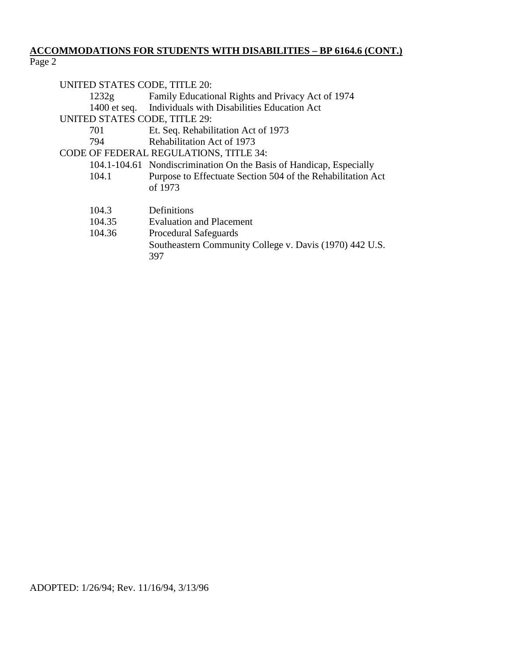### **ACCOMMODATIONS FOR STUDENTS WITH DISABILITIES – BP 6164.6 (CONT.)** Page 2

| UNITED STATES CODE, TITLE 20:<br>Family Educational Rights and Privacy Act of 1974<br>1232g |                                                                                         |
|---------------------------------------------------------------------------------------------|-----------------------------------------------------------------------------------------|
|                                                                                             | 1400 et seq. Individuals with Disabilities Education Act                                |
| UNITED STATES CODE, TITLE 29:                                                               |                                                                                         |
| 701                                                                                         | Et. Seq. Rehabilitation Act of 1973                                                     |
| 794                                                                                         | Rehabilitation Act of 1973                                                              |
| <b>CODE OF FEDERAL REGULATIONS, TITLE 34:</b>                                               |                                                                                         |
|                                                                                             | 104.1-104.61 Nondiscrimination On the Basis of Handicap, Especially                     |
| 104.1                                                                                       | Purpose to Effectuate Section 504 of the Rehabilitation Act<br>of 1973                  |
| 104.3                                                                                       | Definitions                                                                             |
| 104.35                                                                                      | <b>Evaluation and Placement</b>                                                         |
| 104.36                                                                                      | Procedural Safeguards<br>Southeastern Community College v. Davis (1970) 442 U.S.<br>397 |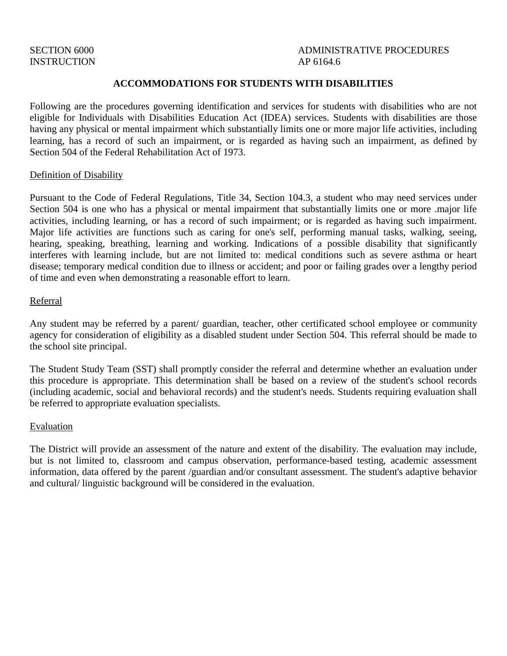# INSTRUCTION AP 6164.6

# SECTION 6000 ADMINISTRATIVE PROCEDURES

#### **ACCOMMODATIONS FOR STUDENTS WITH DISABILITIES**

Following are the procedures governing identification and services for students with disabilities who are not eligible for Individuals with Disabilities Education Act (IDEA) services. Students with disabilities are those having any physical or mental impairment which substantially limits one or more major life activities, including learning, has a record of such an impairment, or is regarded as having such an impairment, as defined by Section 504 of the Federal Rehabilitation Act of 1973.

#### Definition of Disability

Pursuant to the Code of Federal Regulations, Title 34, Section 104.3, a student who may need services under Section 504 is one who has a physical or mental impairment that substantially limits one or more .major life activities, including learning, or has a record of such impairment; or is regarded as having such impairment. Major life activities are functions such as caring for one's self, performing manual tasks, walking, seeing, hearing, speaking, breathing, learning and working. Indications of a possible disability that significantly interferes with learning include, but are not limited to: medical conditions such as severe asthma or heart disease; temporary medical condition due to illness or accident; and poor or failing grades over a lengthy period of time and even when demonstrating a reasonable effort to learn.

#### Referral

Any student may be referred by a parent/ guardian, teacher, other certificated school employee or community agency for consideration of eligibility as a disabled student under Section 504. This referral should be made to the school site principal.

The Student Study Team (SST) shall promptly consider the referral and determine whether an evaluation under this procedure is appropriate. This determination shall be based on a review of the student's school records (including academic, social and behavioral records) and the student's needs. Students requiring evaluation shall be referred to appropriate evaluation specialists.

#### Evaluation

The District will provide an assessment of the nature and extent of the disability. The evaluation may include, but is not limited to, classroom and campus observation, performance-based testing, academic assessment information, data offered by the parent /guardian and/or consultant assessment. The student's adaptive behavior and cultural/ linguistic background will be considered in the evaluation.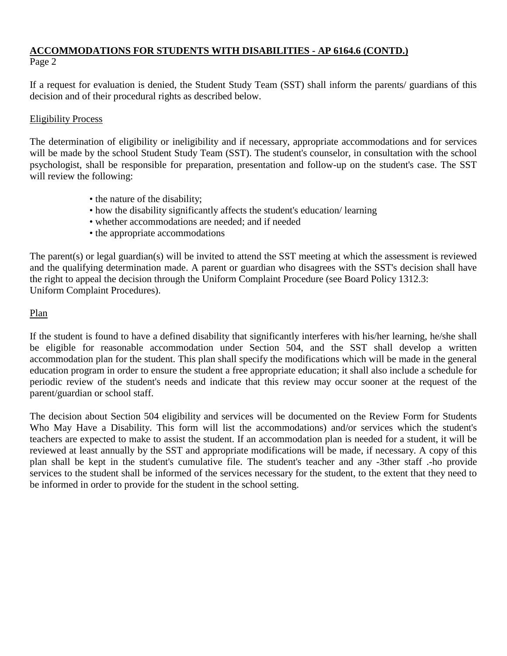# **ACCOMMODATIONS FOR STUDENTS WITH DISABILITIES - AP 6164.6 (CONTD.)** Page 2

If a request for evaluation is denied, the Student Study Team (SST) shall inform the parents/ guardians of this decision and of their procedural rights as described below.

# Eligibility Process

The determination of eligibility or ineligibility and if necessary, appropriate accommodations and for services will be made by the school Student Study Team (SST). The student's counselor, in consultation with the school psychologist, shall be responsible for preparation, presentation and follow-up on the student's case. The SST will review the following:

- the nature of the disability;
- how the disability significantly affects the student's education/ learning
- whether accommodations are needed; and if needed
- the appropriate accommodations

The parent(s) or legal guardian(s) will be invited to attend the SST meeting at which the assessment is reviewed and the qualifying determination made. A parent or guardian who disagrees with the SST's decision shall have the right to appeal the decision through the Uniform Complaint Procedure (see Board Policy 1312.3: Uniform Complaint Procedures).

# Plan

If the student is found to have a defined disability that significantly interferes with his/her learning, he/she shall be eligible for reasonable accommodation under Section 504, and the SST shall develop a written accommodation plan for the student. This plan shall specify the modifications which will be made in the general education program in order to ensure the student a free appropriate education; it shall also include a schedule for periodic review of the student's needs and indicate that this review may occur sooner at the request of the parent/guardian or school staff.

The decision about Section 504 eligibility and services will be documented on the Review Form for Students Who May Have a Disability. This form will list the accommodations) and/or services which the student's teachers are expected to make to assist the student. If an accommodation plan is needed for a student, it will be reviewed at least annually by the SST and appropriate modifications will be made, if necessary. A copy of this plan shall be kept in the student's cumulative file. The student's teacher and any -3ther staff .-ho provide services to the student shall be informed of the services necessary for the student, to the extent that they need to be informed in order to provide for the student in the school setting.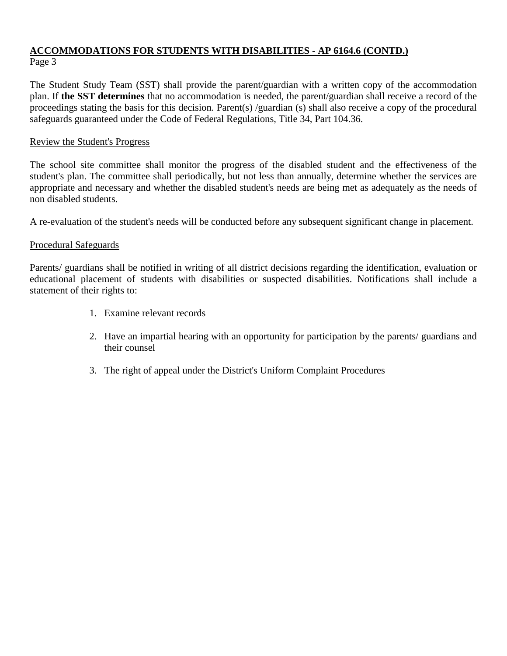# **ACCOMMODATIONS FOR STUDENTS WITH DISABILITIES - AP 6164.6 (CONTD.)** Page 3

The Student Study Team (SST) shall provide the parent/guardian with a written copy of the accommodation plan. If **the SST determines** that no accommodation is needed, the parent/guardian shall receive a record of the proceedings stating the basis for this decision. Parent(s) /guardian (s) shall also receive a copy of the procedural safeguards guaranteed under the Code of Federal Regulations, Title 34, Part 104.36.

#### Review the Student's Progress

The school site committee shall monitor the progress of the disabled student and the effectiveness of the student's plan. The committee shall periodically, but not less than annually, determine whether the services are appropriate and necessary and whether the disabled student's needs are being met as adequately as the needs of non disabled students.

A re-evaluation of the student's needs will be conducted before any subsequent significant change in placement.

#### Procedural Safeguards

Parents/ guardians shall be notified in writing of all district decisions regarding the identification, evaluation or educational placement of students with disabilities or suspected disabilities. Notifications shall include a statement of their rights to:

- 1. Examine relevant records
- 2. Have an impartial hearing with an opportunity for participation by the parents/ guardians and their counsel
- 3. The right of appeal under the District's Uniform Complaint Procedures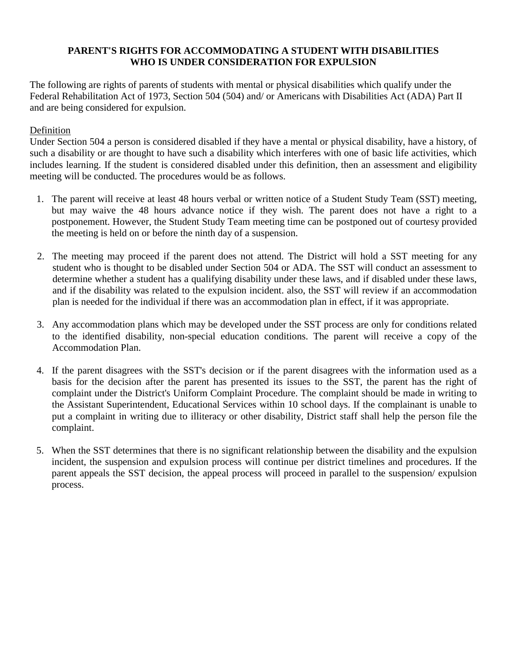#### **PARENT'S RIGHTS FOR ACCOMMODATING A STUDENT WITH DISABILITIES WHO IS UNDER CONSIDERATION FOR EXPULSION**

The following are rights of parents of students with mental or physical disabilities which qualify under the Federal Rehabilitation Act of 1973, Section 504 (504) and/ or Americans with Disabilities Act (ADA) Part II and are being considered for expulsion.

### Definition

Under Section 504 a person is considered disabled if they have a mental or physical disability, have a history, of such a disability or are thought to have such a disability which interferes with one of basic life activities, which includes learning. If the student is considered disabled under this definition, then an assessment and eligibility meeting will be conducted. The procedures would be as follows.

- 1. The parent will receive at least 48 hours verbal or written notice of a Student Study Team (SST) meeting, but may waive the 48 hours advance notice if they wish. The parent does not have a right to a postponement. However, the Student Study Team meeting time can be postponed out of courtesy provided the meeting is held on or before the ninth day of a suspension.
- 2. The meeting may proceed if the parent does not attend. The District will hold a SST meeting for any student who is thought to be disabled under Section 504 or ADA. The SST will conduct an assessment to determine whether a student has a qualifying disability under these laws, and if disabled under these laws, and if the disability was related to the expulsion incident. also, the SST will review if an accommodation plan is needed for the individual if there was an accommodation plan in effect, if it was appropriate.
- 3. Any accommodation plans which may be developed under the SST process are only for conditions related to the identified disability, non-special education conditions. The parent will receive a copy of the Accommodation Plan.
- 4. If the parent disagrees with the SST's decision or if the parent disagrees with the information used as a basis for the decision after the parent has presented its issues to the SST, the parent has the right of complaint under the District's Uniform Complaint Procedure. The complaint should be made in writing to the Assistant Superintendent, Educational Services within 10 school days. If the complainant is unable to put a complaint in writing due to illiteracy or other disability, District staff shall help the person file the complaint.
- 5. When the SST determines that there is no significant relationship between the disability and the expulsion incident, the suspension and expulsion process will continue per district timelines and procedures. If the parent appeals the SST decision, the appeal process will proceed in parallel to the suspension/ expulsion process.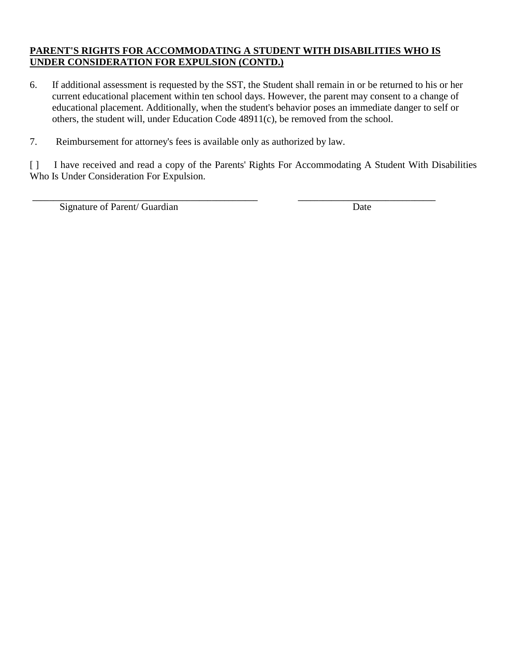# **PARENT'S RIGHTS FOR ACCOMMODATING A STUDENT WITH DISABILITIES WHO IS UNDER CONSIDERATION FOR EXPULSION (CONTD.)**

- 6. If additional assessment is requested by the SST, the Student shall remain in or be returned to his or her current educational placement within ten school days. However, the parent may consent to a change of educational placement. Additionally, when the student's behavior poses an immediate danger to self or others, the student will, under Education Code 48911(c), be removed from the school.
- 7. Reimbursement for attorney's fees is available only as authorized by law.

[ ] I have received and read a copy of the Parents' Rights For Accommodating A Student With Disabilities Who Is Under Consideration For Expulsion.

\_\_\_\_\_\_\_\_\_\_\_\_\_\_\_\_\_\_\_\_\_\_\_\_\_\_\_\_\_\_\_\_\_\_\_\_\_\_\_\_\_\_\_\_\_\_\_\_\_\_\_\_\_\_ \_\_\_\_\_\_\_\_\_\_\_\_\_\_\_\_\_\_\_\_\_\_\_\_\_\_\_\_\_\_\_\_\_

Signature of Parent/ Guardian Date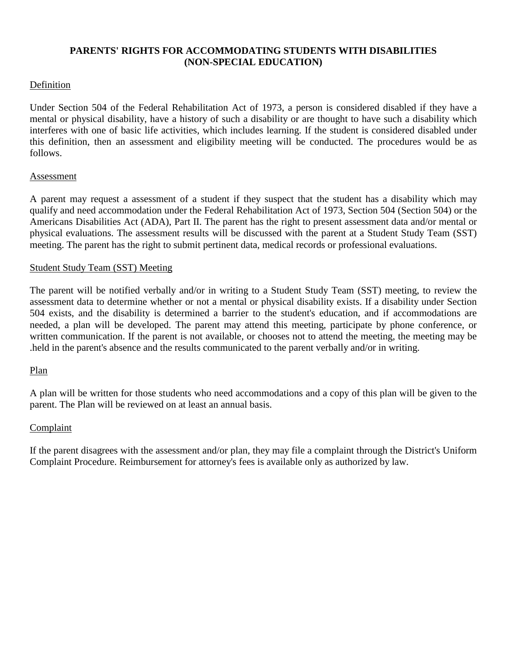# **PARENTS' RIGHTS FOR ACCOMMODATING STUDENTS WITH DISABILITIES (NON-SPECIAL EDUCATION)**

#### Definition

Under Section 504 of the Federal Rehabilitation Act of 1973, a person is considered disabled if they have a mental or physical disability, have a history of such a disability or are thought to have such a disability which interferes with one of basic life activities, which includes learning. If the student is considered disabled under this definition, then an assessment and eligibility meeting will be conducted. The procedures would be as follows.

#### Assessment

A parent may request a assessment of a student if they suspect that the student has a disability which may qualify and need accommodation under the Federal Rehabilitation Act of 1973, Section 504 (Section 504) or the Americans Disabilities Act (ADA), Part II. The parent has the right to present assessment data and/or mental or physical evaluations. The assessment results will be discussed with the parent at a Student Study Team (SST) meeting. The parent has the right to submit pertinent data, medical records or professional evaluations.

#### Student Study Team (SST) Meeting

The parent will be notified verbally and/or in writing to a Student Study Team (SST) meeting, to review the assessment data to determine whether or not a mental or physical disability exists. If a disability under Section 504 exists, and the disability is determined a barrier to the student's education, and if accommodations are needed, a plan will be developed. The parent may attend this meeting, participate by phone conference, or written communication. If the parent is not available, or chooses not to attend the meeting, the meeting may be .held in the parent's absence and the results communicated to the parent verbally and/or in writing.

# Plan

A plan will be written for those students who need accommodations and a copy of this plan will be given to the parent. The Plan will be reviewed on at least an annual basis.

#### Complaint

If the parent disagrees with the assessment and/or plan, they may file a complaint through the District's Uniform Complaint Procedure. Reimbursement for attorney's fees is available only as authorized by law.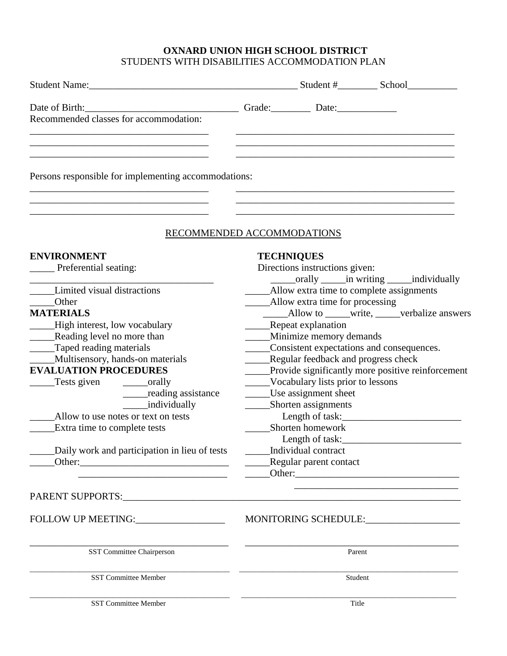# **OXNARD UNION HIGH SCHOOL DISTRICT**  STUDENTS WITH DISABILITIES ACCOMMODATION PLAN

| Recommended classes for accommodation:               |                                                            |
|------------------------------------------------------|------------------------------------------------------------|
|                                                      |                                                            |
|                                                      |                                                            |
| Persons responsible for implementing accommodations: |                                                            |
|                                                      |                                                            |
|                                                      | RECOMMENDED ACCOMMODATIONS                                 |
|                                                      |                                                            |
| <b>ENVIRONMENT</b>                                   | <b>TECHNIQUES</b>                                          |
| Preferential seating:                                | Directions instructions given:                             |
|                                                      | _______orally ________in writing _______individually       |
| Limited visual distractions                          | Allow extra time to complete assignments                   |
| <b>Other</b>                                         | Allow extra time for processing                            |
| <b>MATERIALS</b>                                     | __________Allow to ________write, _______verbalize answers |
| High interest, low vocabulary                        | _____Repeat explanation                                    |
| ______Reading level no more than                     | _____Minimize memory demands                               |
| Taped reading materials                              | Consistent expectations and consequences.                  |
| _Multisensory, hands-on materials                    | Regular feedback and progress check                        |
| <b>EVALUATION PROCEDURES</b>                         | _____Provide significantly more positive reinforcement     |
| Tests given ____________orally                       | ____Vocabulary lists prior to lessons                      |
| ______reading assistance                             | Use assignment sheet                                       |
| <i>individually</i>                                  | _______Shorten assignments                                 |
| Allow to use notes or text on tests                  | Length of task:                                            |
| Extra time to complete tests                         | Shorten homework                                           |
|                                                      | Length of task:                                            |
| Daily work and participation in lieu of tests        | Individual contract                                        |
|                                                      | Regular parent contact                                     |
|                                                      | Other:                                                     |
|                                                      |                                                            |
| FOLLOW UP MEETING: __________________                | MONITORING SCHEDULE:                                       |
| SST Committee Chairperson                            | Parent                                                     |
| <b>SST Committee Member</b>                          | Student                                                    |
| SST Committee Member                                 | Title                                                      |